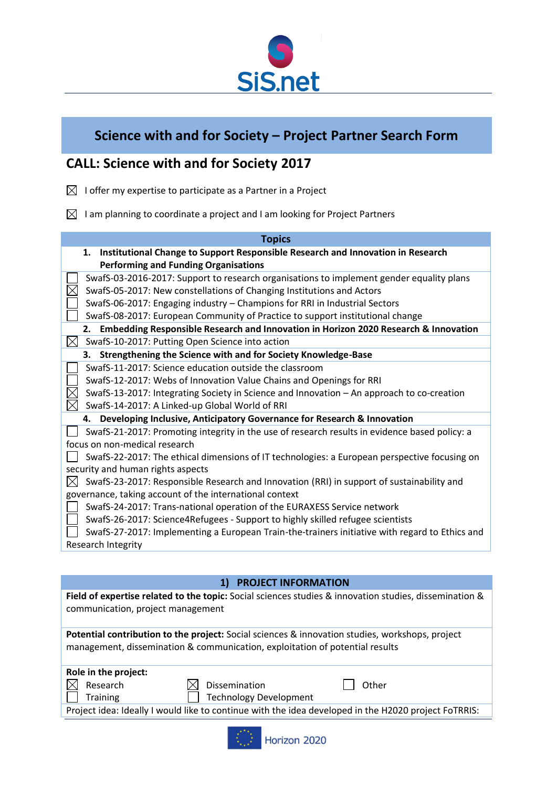

## **Science with and for Society – Project Partner Search Form**

## **CALL: Science with and for Society 2017**

- $\boxtimes$  I offer my expertise to participate as a Partner in a Project
- $\boxtimes$  I am planning to coordinate a project and I am looking for Project Partners

| <b>Topics</b>                                                                                  |
|------------------------------------------------------------------------------------------------|
| Institutional Change to Support Responsible Research and Innovation in Research<br>1.          |
| <b>Performing and Funding Organisations</b>                                                    |
| SwafS-03-2016-2017: Support to research organisations to implement gender equality plans       |
| SwafS-05-2017: New constellations of Changing Institutions and Actors                          |
| SwafS-06-2017: Engaging industry - Champions for RRI in Industrial Sectors                     |
| SwafS-08-2017: European Community of Practice to support institutional change                  |
| Embedding Responsible Research and Innovation in Horizon 2020 Research & Innovation<br>2.      |
| $\boxtimes$<br>SwafS-10-2017: Putting Open Science into action                                 |
| Strengthening the Science with and for Society Knowledge-Base<br>З.                            |
| SwafS-11-2017: Science education outside the classroom                                         |
| SwafS-12-2017: Webs of Innovation Value Chains and Openings for RRI                            |
| SwafS-13-2017: Integrating Society in Science and Innovation - An approach to co-creation      |
| SwafS-14-2017: A Linked-up Global World of RRI                                                 |
| 4. Developing Inclusive, Anticipatory Governance for Research & Innovation                     |
| SwafS-21-2017: Promoting integrity in the use of research results in evidence based policy: a  |
| focus on non-medical research                                                                  |
| SwafS-22-2017: The ethical dimensions of IT technologies: a European perspective focusing on   |
| security and human rights aspects                                                              |
| SwafS-23-2017: Responsible Research and Innovation (RRI) in support of sustainability and      |
| governance, taking account of the international context                                        |
| SwafS-24-2017: Trans-national operation of the EURAXESS Service network                        |
| SwafS-26-2017: Science4Refugees - Support to highly skilled refugee scientists                 |
| SwafS-27-2017: Implementing a European Train-the-trainers initiative with regard to Ethics and |
| Research Integrity                                                                             |

|                                   | <b>PROJECT INFORMATION</b>                                                   |                                                                                                        |
|-----------------------------------|------------------------------------------------------------------------------|--------------------------------------------------------------------------------------------------------|
| communication, project management |                                                                              | Field of expertise related to the topic: Social sciences studies & innovation studies, dissemination & |
|                                   | management, dissemination & communication, exploitation of potential results | <b>Potential contribution to the project:</b> Social sciences & innovation studies, workshops, project |
| Role in the project:              |                                                                              |                                                                                                        |
| Research                          | Dissemination                                                                | Other                                                                                                  |
| <b>Training</b>                   | <b>Technology Development</b>                                                |                                                                                                        |
|                                   |                                                                              | Project idea: Ideally I would like to continue with the idea developed in the H2020 project FoTRRIS:   |
|                                   |                                                                              |                                                                                                        |

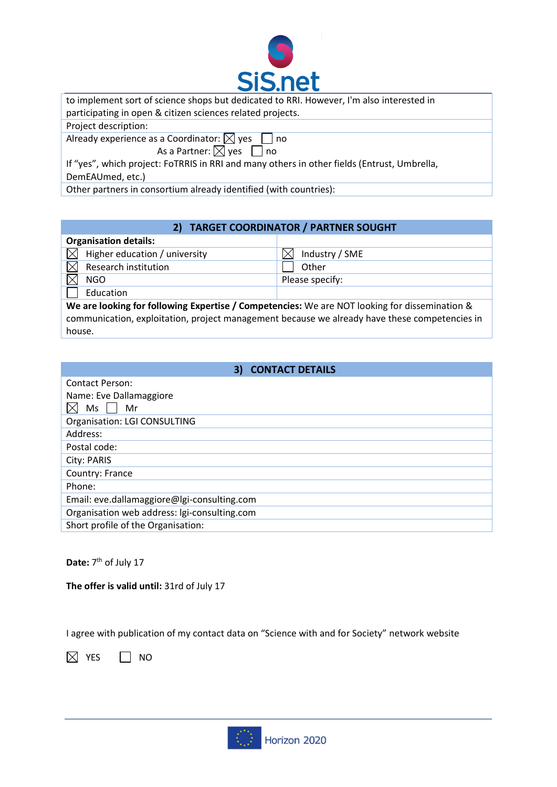

| to implement sort of science shops but dedicated to RRI. However, I'm also interested in<br>participating in open & citizen sciences related projects.                                                                       |
|------------------------------------------------------------------------------------------------------------------------------------------------------------------------------------------------------------------------------|
| Project description:                                                                                                                                                                                                         |
| Already experience as a Coordinator: $\boxtimes$ yes $\Box$ no<br>As a Partner: $\boxtimes$ yes $\Box$ no<br>If "yes", which project: FoTRRIS in RRI and many others in other fields (Entrust, Umbrella,<br>DemEAUmed, etc.) |
| Other partners in consortium already identified (with countries):                                                                                                                                                            |
|                                                                                                                                                                                                                              |

## **2) TARGET COORDINATOR / PARTNER SOUGHT**

| <b>Organisation details:</b>  |                       |
|-------------------------------|-----------------------|
| Higher education / university | Industry / SME<br>'Хı |
| Research institution          | Other                 |
| <b>NGO</b>                    | Please specify:       |
| Education                     |                       |
|                               |                       |

**We are looking for following Expertise / Competencies:** We are NOT looking for dissemination & communication, exploitation, project management because we already have these competencies in house.

| <b>3) CONTACT DETAILS</b>                    |
|----------------------------------------------|
| <b>Contact Person:</b>                       |
| Name: Eve Dallamaggiore                      |
| Ms<br>Mr                                     |
| Organisation: LGI CONSULTING                 |
| Address:                                     |
| Postal code:                                 |
| City: PARIS                                  |
| Country: France                              |
| Phone:                                       |
| Email: eve.dallamaggiore@lgi-consulting.com  |
| Organisation web address: Igi-consulting.com |
| Short profile of the Organisation:           |

## Date: 7<sup>th</sup> of July 17

**The offer is valid until:** 31rd of July 17

I agree with publication of my contact data on "Science with and for Society" network website

 $\boxtimes$  YES  $\Box$  NO